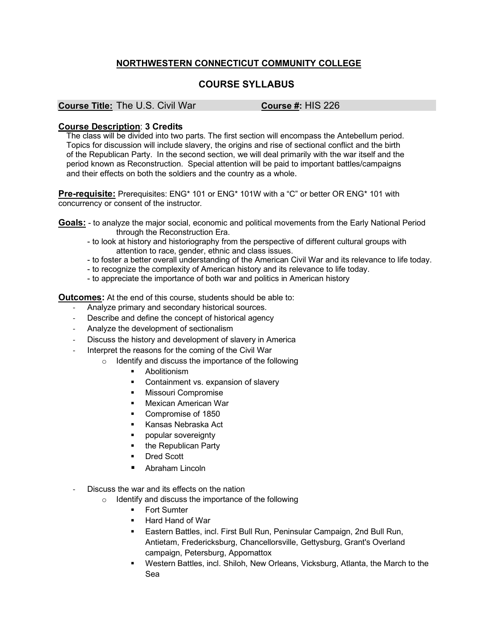## **NORTHWESTERN CONNECTICUT COMMUNITY COLLEGE**

## **COURSE SYLLABUS**

## **Course Title:** The U.S. Civil War **Course #:** HIS 226

## **Course Description**: **3 Credits**

The class will be divided into two parts. The first section will encompass the Antebellum period. Topics for discussion will include slavery, the origins and rise of sectional conflict and the birth of the Republican Party. In the second section, we will deal primarily with the war itself and the period known as Reconstruction. Special attention will be paid to important battles/campaigns and their effects on both the soldiers and the country as a whole.

**Pre-requisite:** Prerequisites: ENG\* 101 or ENG\* 101W with a "C" or better OR ENG\* 101 with concurrency or consent of the instructor.

**Goals:** - to analyze the major social, economic and political movements from the Early National Period through the Reconstruction Era.

- to look at history and historiography from the perspective of different cultural groups with attention to race, gender, ethnic and class issues.
- to foster a better overall understanding of the American Civil War and its relevance to life today.
- to recognize the complexity of American history and its relevance to life today.
- to appreciate the importance of both war and politics in American history

**Outcomes:** At the end of this course, students should be able to:

- Analyze primary and secondary historical sources.
- Describe and define the concept of historical agency
- Analyze the development of sectionalism
- Discuss the history and development of slavery in America
- Interpret the reasons for the coming of the Civil War
	- o Identify and discuss the importance of the following
		- Abolitionism
		- Containment vs. expansion of slavery
		- **■** Missouri Compromise
		- § Mexican American War
		- Compromise of 1850
		- § Kansas Nebraska Act
		- popular sovereignty
		- the Republican Party
		- Dred Scott
		- § Abraham Lincoln
- Discuss the war and its effects on the nation
	- o Identify and discuss the importance of the following
		- **Fort Sumter**
		- § Hard Hand of War
		- Eastern Battles, incl. First Bull Run, Peninsular Campaign, 2nd Bull Run, Antietam, Fredericksburg, Chancellorsville, Gettysburg, Grant's Overland campaign, Petersburg, Appomattox
		- Western Battles, incl. Shiloh, New Orleans, Vicksburg, Atlanta, the March to the Sea